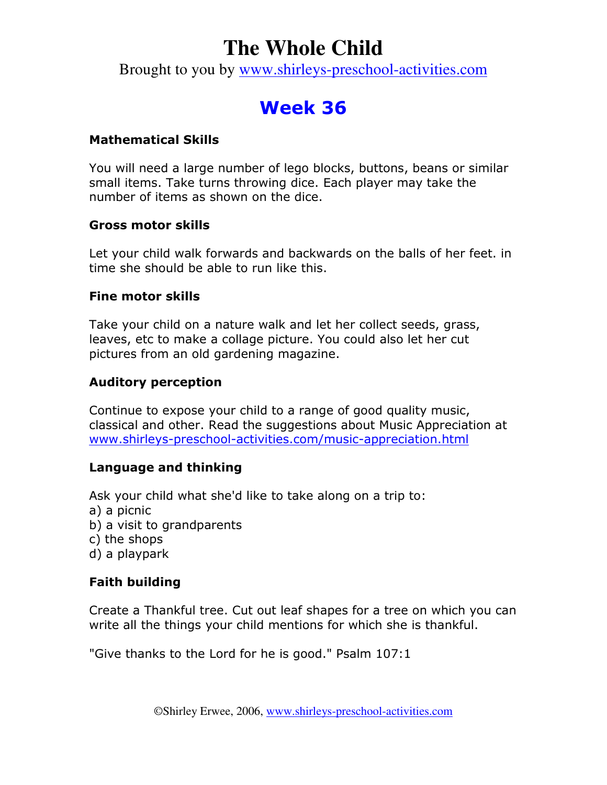# **The Whole Child**

Brought to you by www.shirleys-preschool-activities.com

# Week 36

# Mathematical Skills

You will need a large number of lego blocks, buttons, beans or similar small items. Take turns throwing dice. Each player may take the number of items as shown on the dice.

### Gross motor skills

Let your child walk forwards and backwards on the balls of her feet. in time she should be able to run like this.

### Fine motor skills

Take your child on a nature walk and let her collect seeds, grass, leaves, etc to make a collage picture. You could also let her cut pictures from an old gardening magazine.

### Auditory perception

Continue to expose your child to a range of good quality music, classical and other. Read the suggestions about Music Appreciation at www.shirleys-preschool-activities.com/music-appreciation.html

# Language and thinking

Ask your child what she'd like to take along on a trip to:

- a) a picnic
- b) a visit to grandparents
- c) the shops
- d) a playpark

# Faith building

Create a Thankful tree. Cut out leaf shapes for a tree on which you can write all the things your child mentions for which she is thankful.

"Give thanks to the Lord for he is good." Psalm 107:1